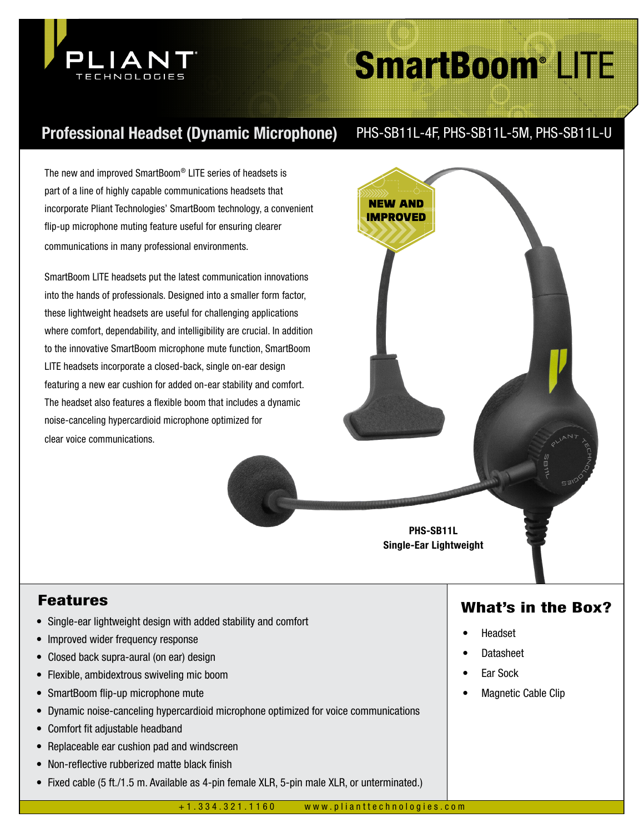

# SmartBoom® LITE

# Professional Headset (Dynamic Microphone) PHS-SB11L-4F, PHS-SB11L-5M, PHS-SB11L-U

The new and improved SmartBoom® LITE series of headsets is part of a line of highly capable communications headsets that incorporate Pliant Technologies' SmartBoom technology, a convenient flip-up microphone muting feature useful for ensuring clearer communications in many professional environments.

SmartBoom LITE headsets put the latest communication innovations into the hands of professionals. Designed into a smaller form factor, these lightweight headsets are useful for challenging applications where comfort, dependability, and intelligibility are crucial. In addition to the innovative SmartBoom microphone mute function, SmartBoom LITE headsets incorporate a closed-back, single on-ear design featuring a new ear cushion for added on-ear stability and comfort. The headset also features a flexible boom that includes a dynamic noise-canceling hypercardioid microphone optimized for clear voice communications.



- Single-ear lightweight design with added stability and comfort
- Improved wider frequency response
- Closed back supra-aural (on ear) design
- Flexible, ambidextrous swiveling mic boom
- SmartBoom flip-up microphone mute
- Dynamic noise-canceling hypercardioid microphone optimized for voice communications
- Comfort fit adjustable headband
- Replaceable ear cushion pad and windscreen
- Non-reflective rubberized matte black finish
- Fixed cable (5 ft./1.5 m. Available as 4-pin female XLR, 5-pin male XLR, or unterminated.)

# Features What's in the Box?

- Headset
- Datasheet
- **Ear Sock**
- Magnetic Cable Clip